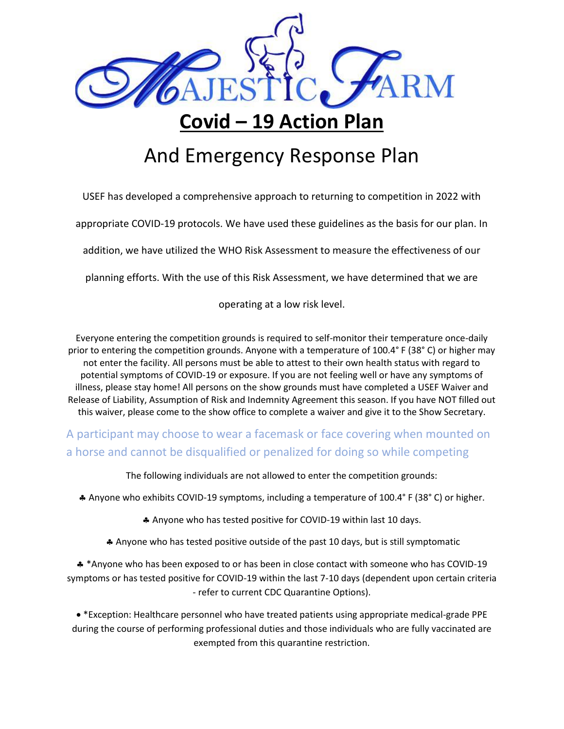

## **Covid – 19 Action Plan**

## And Emergency Response Plan

USEF has developed a comprehensive approach to returning to competition in 2022 with

appropriate COVID-19 protocols. We have used these guidelines as the basis for our plan. In

addition, we have utilized the WHO Risk Assessment to measure the effectiveness of our

planning efforts. With the use of this Risk Assessment, we have determined that we are

operating at a low risk level.

Everyone entering the competition grounds is required to self-monitor their temperature once-daily prior to entering the competition grounds. Anyone with a temperature of 100.4° F (38° C) or higher may not enter the facility. All persons must be able to attest to their own health status with regard to potential symptoms of COVID-19 or exposure. If you are not feeling well or have any symptoms of illness, please stay home! All persons on the show grounds must have completed a USEF Waiver and Release of Liability, Assumption of Risk and Indemnity Agreement this season. If you have NOT filled out this waiver, please come to the show office to complete a waiver and give it to the Show Secretary.

A participant may choose to wear a facemask or face covering when mounted on a horse and cannot be disqualified or penalized for doing so while competing

The following individuals are not allowed to enter the competition grounds:

Anyone who exhibits COVID-19 symptoms, including a temperature of 100.4° F (38° C) or higher.

Anyone who has tested positive for COVID-19 within last 10 days.

Anyone who has tested positive outside of the past 10 days, but is still symptomatic

 \*Anyone who has been exposed to or has been in close contact with someone who has COVID-19 symptoms or has tested positive for COVID-19 within the last 7-10 days (dependent upon certain criteria - refer to current CDC Quarantine Options).

• \*Exception: Healthcare personnel who have treated patients using appropriate medical-grade PPE during the course of performing professional duties and those individuals who are fully vaccinated are exempted from this quarantine restriction.